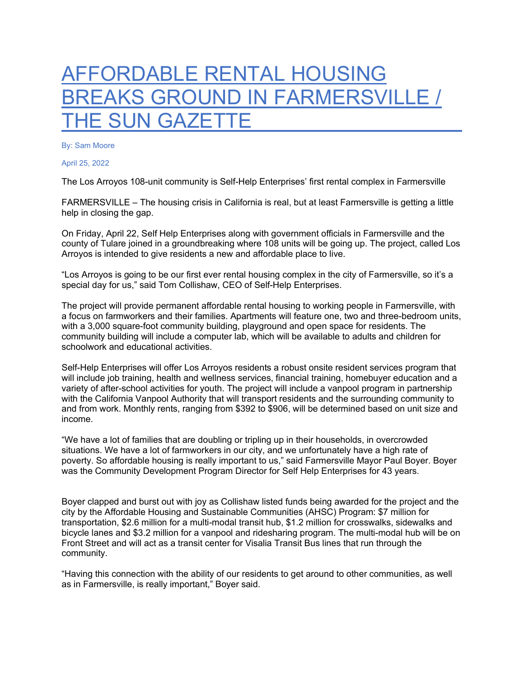## AFFORDABLE RENTAL HOUSING BREAKS GROUND IN FARMERSVILLE / THE SUN GAZETTE

By: Sam Moore

April 25, 2022

The Los Arroyos 108-unit community is Self-Help Enterprises' first rental complex in Farmersville

FARMERSVILLE – The housing crisis in California is real, but at least Farmersville is getting a little help in closing the gap.

On Friday, April 22, Self Help Enterprises along with government officials in Farmersville and the county of Tulare joined in a groundbreaking where 108 units will be going up. The project, called Los Arroyos is intended to give residents a new and affordable place to live.

"Los Arroyos is going to be our first ever rental housing complex in the city of Farmersville, so it's a special day for us," said Tom Collishaw, CEO of Self-Help Enterprises.

The project will provide permanent affordable rental housing to working people in Farmersville, with a focus on farmworkers and their families. Apartments will feature one, two and three-bedroom units, with a 3,000 square-foot community building, playground and open space for residents. The community building will include a computer lab, which will be available to adults and children for schoolwork and educational activities.

Self-Help Enterprises will offer Los Arroyos residents a robust onsite resident services program that will include job training, health and wellness services, financial training, homebuyer education and a variety of after-school activities for youth. The project will include a vanpool program in partnership with the California Vanpool Authority that will transport residents and the surrounding community to and from work. Monthly rents, ranging from \$392 to \$906, will be determined based on unit size and income.

"We have a lot of families that are doubling or tripling up in their households, in overcrowded situations. We have a lot of farmworkers in our city, and we unfortunately have a high rate of poverty. So affordable housing is really important to us," said Farmersville Mayor Paul Boyer. Boyer was the Community Development Program Director for Self Help Enterprises for 43 years.

Boyer clapped and burst out with joy as Collishaw listed funds being awarded for the project and the city by the Affordable Housing and Sustainable Communities (AHSC) Program: \$7 million for transportation, \$2.6 million for a multi-modal transit hub, \$1.2 million for crosswalks, sidewalks and bicycle lanes and \$3.2 million for a vanpool and ridesharing program. The multi-modal hub will be on Front Street and will act as a transit center for Visalia Transit Bus lines that run through the community.

"Having this connection with the ability of our residents to get around to other communities, as well as in Farmersville, is really important," Boyer said.